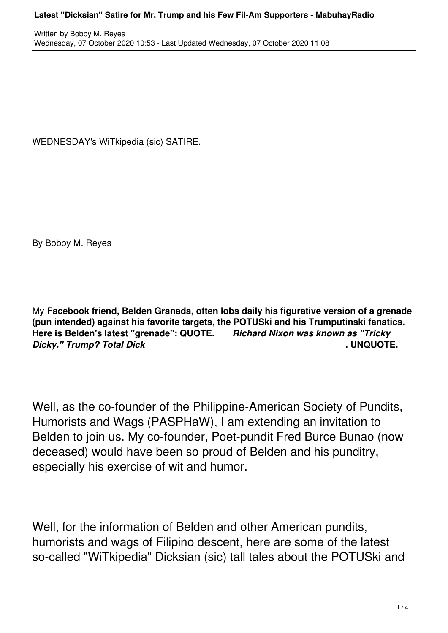WEDNESDAY's WiTkipedia (sic) SATIRE.

By Bobby M. Reyes

My **Facebook friend, Belden Granada, often lobs daily his figurative version of a grenade (pun intended) against his favorite targets, the POTUSki and his Trumputinski fanatics. Here is Belden's latest "grenade": QUOTE.** *Richard Nixon was known as "Tricky Dicky." Trump? Total Dick* **. UNQUOTE.**

Well, as the co-founder of the Philippine-American Society of Pundits, Humorists and Wags (PASPHaW), I am extending an invitation to Belden to join us. My co-founder, Poet-pundit Fred Burce Bunao (now deceased) would have been so proud of Belden and his punditry, especially his exercise of wit and humor.

Well, for the information of Belden and other American pundits, humorists and wags of Filipino descent, here are some of the latest so-called "WiTkipedia" Dicksian (sic) tall tales about the POTUSki and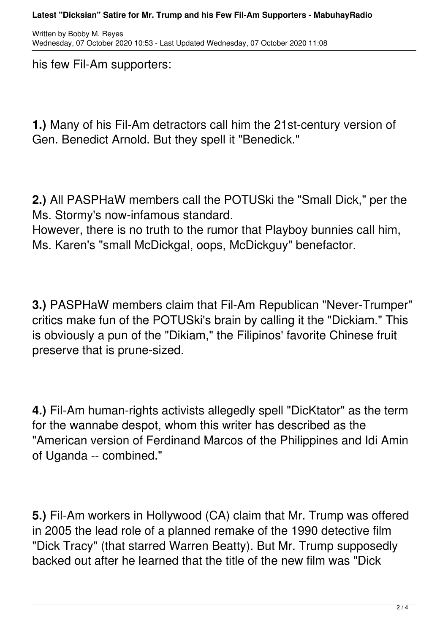his few Fil-Am supporters:

**1.)** Many of his Fil-Am detractors call him the 21st-century version of Gen. Benedict Arnold. But they spell it "Benedick."

**2.)** All PASPHaW members call the POTUSki the "Small Dick," per the Ms. Stormy's now-infamous standard. However, there is no truth to the rumor that Playboy bunnies call him, Ms. Karen's "small McDickgal, oops, McDickguy" benefactor.

**3.)** PASPHaW members claim that Fil-Am Republican "Never-Trumper" critics make fun of the POTUSki's brain by calling it the "Dickiam." This is obviously a pun of the "Dikiam," the Filipinos' favorite Chinese fruit preserve that is prune-sized.

**4.)** Fil-Am human-rights activists allegedly spell "DicKtator" as the term for the wannabe despot, whom this writer has described as the "American version of Ferdinand Marcos of the Philippines and Idi Amin of Uganda -- combined."

**5.)** Fil-Am workers in Hollywood (CA) claim that Mr. Trump was offered in 2005 the lead role of a planned remake of the 1990 detective film "Dick Tracy" (that starred Warren Beatty). But Mr. Trump supposedly backed out after he learned that the title of the new film was "Dick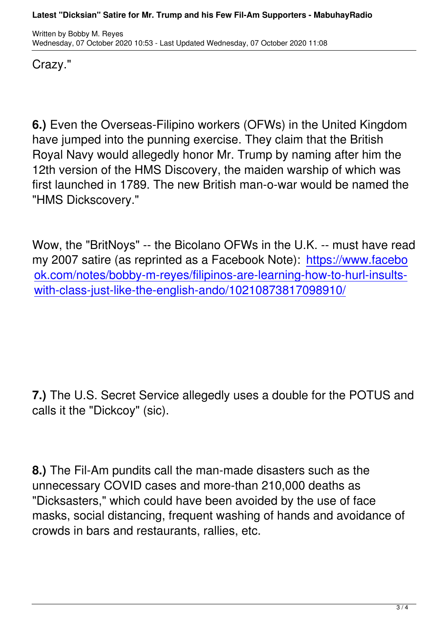Crazy."

**6.)** Even the Overseas-Filipino workers (OFWs) in the United Kingdom have jumped into the punning exercise. They claim that the British Royal Navy would allegedly honor Mr. Trump by naming after him the 12th version of the HMS Discovery, the maiden warship of which was first launched in 1789. The new British man-o-war would be named the "HMS Dickscovery."

Wow, the "BritNoys" -- the Bicolano OFWs in the U.K. -- must have read my 2007 satire (as reprinted as a Facebook Note): https://www.facebo ok.com/notes/bobby-m-reyes/filipinos-are-learning-how-to-hurl-insultswith-class-just-like-the-english-ando/10210873817[098910/](https://www.facebook.com/notes/bobby-m-reyes/filipinos-are-learning-how-to-hurl-insults-with-class-just-like-the-english-ando/10210873817098910/?av=1156560503&eav=AfbyFsd0c2yDSDLUxYzt7IORg-7Hc32Up0jqnSm7jbnewoNlgX2BFWhv7yFVJhf5tGo&fref=mentions)

**7.)** The U.S. Secret Service allegedly uses a double for the POTUS and calls it the "Dickcoy" (sic).

**8.)** The Fil-Am pundits call the man-made disasters such as the unnecessary COVID cases and more-than 210,000 deaths as "Dicksasters," which could have been avoided by the use of face masks, social distancing, frequent washing of hands and avoidance of crowds in bars and restaurants, rallies, etc.